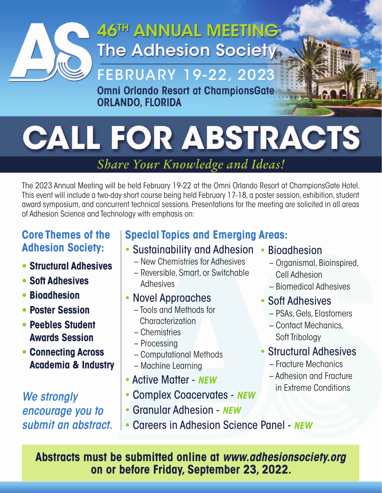

## 46TH ANNUAL MEETING **The Adhesion Society:**

## **FEBRUARY 19-22, 2023**

Omni Orlando Resort at ChampionsGate **ORLANDO, FLORIDA** 

# **CALL FOR ABSTRACTS**

### Share Your Knowledge and Ideas!

The 2023 Annual Meeting will be held February 19-22 at the Omni Orlando Resort at ChampionsGate Hotel. This event will include a two-day short course being held February 17-18, a poster session, exhibition, student award symposium, and concurrent technical sessions. Presentations for the meeting are solicited in all areas of Adhesion Science and Technology with emphasis on:

#### **Core Themes of the Adhesion Society:**

- **Structural Adhesives**
- **Soft Adhesives**
- **Bioadhesion**
- **Poster Session**
- **Peebles Student Awards Session**
- **Connecting Across Academia & Industry**

*We strongly encourage you to submit an abstract.* 

### **Special Topics and Emerging Areas:**

- Sustainability and Adhesion
	- New Chemistries for Adhesives
	- Reversible, Smart, or Switchable Adhesives
- Novel Approaches
	- Tools and Methods for **Characterization**
	- Chemistries
	- Processing
	- Computational Methods
	- Machine Learning
- Active Matter *NEW*
- Complex Coacervates *NEW*
- Granular Adhesion *NEW*
- Careers in Adhesion Science Panel *NEW*

• Bioadhesion

- Organismal, Bioinspired, Cell Adhesion
- Biomedical Adhesives
- Soft Adhesives
	- PSAs, Gels, Elastomers
	- Contact Mechanics, Soft Tribology
- Structural Adhesives
	- Fracture Mechanics
	- Adhesion and Fracture in Extreme Conditions

**Abstracts must be submitted online at** *www.adhesionsociety.org* **on or before Friday, September 23, 2022.**